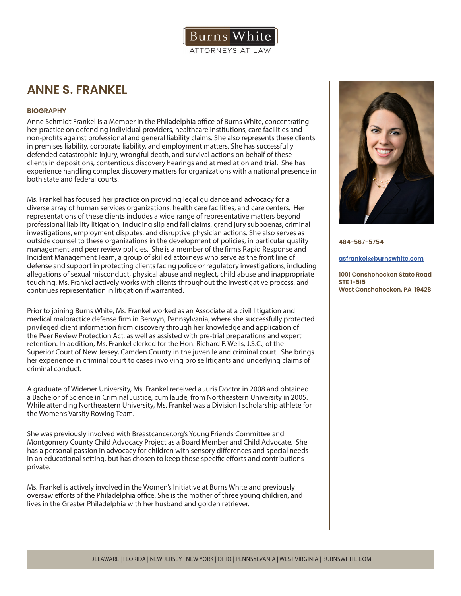

# **ANNE S. FRANKEL**

# **BIOGRAPHY**

Anne Schmidt Frankel is a Member in the Philadelphia office of Burns White, concentrating her practice on defending individual providers, healthcare institutions, care facilities and non-profits against professional and general liability claims. She also represents these clients in premises liability, corporate liability, and employment matters. She has successfully defended catastrophic injury, wrongful death, and survival actions on behalf of these clients in depositions, contentious discovery hearings and at mediation and trial. She has experience handling complex discovery matters for organizations with a national presence in both state and federal courts.

Ms. Frankel has focused her practice on providing legal guidance and advocacy for a diverse array of human services organizations, health care facilities, and care centers. Her representations of these clients includes a wide range of representative matters beyond professional liability litigation, including slip and fall claims, grand jury subpoenas, criminal investigations, employment disputes, and disruptive physician actions. She also serves as outside counsel to these organizations in the development of policies, in particular quality management and peer review policies. She is a member of the firm's Rapid Response and Incident Management Team, a group of skilled attorneys who serve as the front line of defense and support in protecting clients facing police or regulatory investigations, including allegations of sexual misconduct, physical abuse and neglect, child abuse and inappropriate touching. Ms. Frankel actively works with clients throughout the investigative process, and continues representation in litigation if warranted.

Prior to joining Burns White, Ms. Frankel worked as an Associate at a civil litigation and medical malpractice defense firm in Berwyn, Pennsylvania, where she successfully protected privileged client information from discovery through her knowledge and application of the Peer Review Protection Act, as well as assisted with pre-trial preparations and expert retention. In addition, Ms. Frankel clerked for the Hon. Richard F. Wells, J.S.C., of the Superior Court of New Jersey, Camden County in the juvenile and criminal court. She brings her experience in criminal court to cases involving pro se litigants and underlying claims of criminal conduct.

A graduate of Widener University, Ms. Frankel received a Juris Doctor in 2008 and obtained a Bachelor of Science in Criminal Justice, cum laude, from Northeastern University in 2005. While attending Northeastern University, Ms. Frankel was a Division I scholarship athlete for the Women's Varsity Rowing Team.

She was previously involved with Breastcancer.org's Young Friends Committee and Montgomery County Child Advocacy Project as a Board Member and Child Advocate. She has a personal passion in advocacy for children with sensory differences and special needs in an educational setting, but has chosen to keep those specific efforts and contributions private.

Ms. Frankel is actively involved in the Women's Initiative at Burns White and previously oversaw efforts of the Philadelphia office. She is the mother of three young children, and lives in the Greater Philadelphia with her husband and golden retriever.



**484-567-5754**

**asfrankel@burnswhite.com**

**1001 Conshohocken State Road STE 1-515 West Conshohocken, PA 19428**